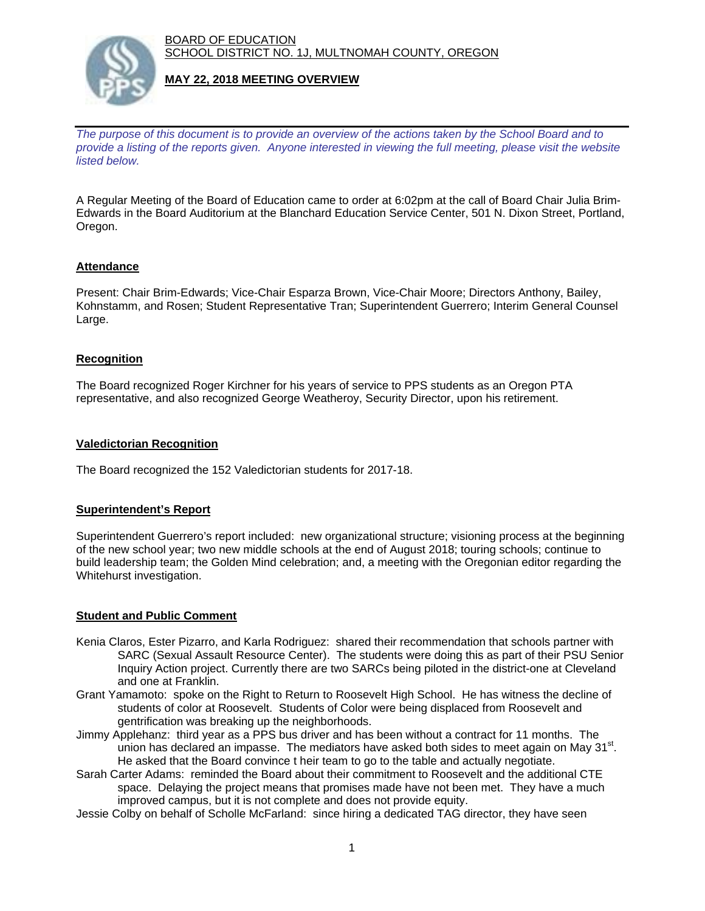BOARD OF EDUCATION SCHOOL DISTRICT NO. 1J, MULTNOMAH COUNTY, OREGON



## **MAY 22, 2018 MEETING OVERVIEW**

*The purpose of this document is to provide an overview of the actions taken by the School Board and to provide a listing of the reports given. Anyone interested in viewing the full meeting, please visit the website listed below.*

A Regular Meeting of the Board of Education came to order at 6:02pm at the call of Board Chair Julia Brim-Edwards in the Board Auditorium at the Blanchard Education Service Center, 501 N. Dixon Street, Portland, Oregon.

### **Attendance**

Present: Chair Brim-Edwards; Vice-Chair Esparza Brown, Vice-Chair Moore; Directors Anthony, Bailey, Kohnstamm, and Rosen; Student Representative Tran; Superintendent Guerrero; Interim General Counsel Large.

### **Recognition**

The Board recognized Roger Kirchner for his years of service to PPS students as an Oregon PTA representative, and also recognized George Weatheroy, Security Director, upon his retirement.

#### **Valedictorian Recognition**

The Board recognized the 152 Valedictorian students for 2017-18.

#### **Superintendent's Report**

Superintendent Guerrero's report included: new organizational structure; visioning process at the beginning of the new school year; two new middle schools at the end of August 2018; touring schools; continue to build leadership team; the Golden Mind celebration; and, a meeting with the Oregonian editor regarding the Whitehurst investigation.

#### **Student and Public Comment**

- Kenia Claros, Ester Pizarro, and Karla Rodriguez: shared their recommendation that schools partner with SARC (Sexual Assault Resource Center). The students were doing this as part of their PSU Senior Inquiry Action project. Currently there are two SARCs being piloted in the district-one at Cleveland and one at Franklin.
- Grant Yamamoto: spoke on the Right to Return to Roosevelt High School. He has witness the decline of students of color at Roosevelt. Students of Color were being displaced from Roosevelt and gentrification was breaking up the neighborhoods.
- Jimmy Applehanz: third year as a PPS bus driver and has been without a contract for 11 months. The union has declared an impasse. The mediators have asked both sides to meet again on May  $31<sup>st</sup>$ . He asked that the Board convince t heir team to go to the table and actually negotiate.
- Sarah Carter Adams: reminded the Board about their commitment to Roosevelt and the additional CTE space. Delaying the project means that promises made have not been met. They have a much improved campus, but it is not complete and does not provide equity.
- Jessie Colby on behalf of Scholle McFarland: since hiring a dedicated TAG director, they have seen